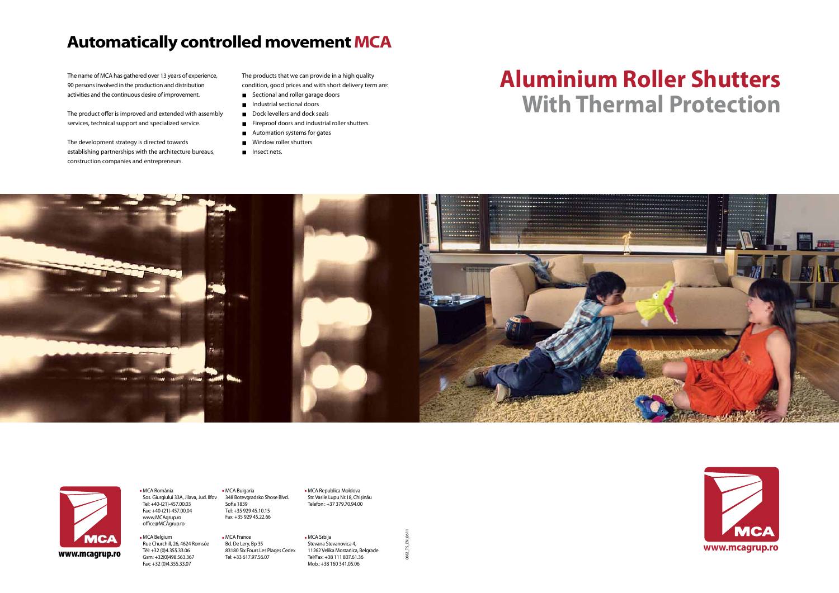# **Aluminium Roller Shutters With Thermal Protection**





0082\_TS\_EN\_06 11



 MCA România Sos. Giurgiului 33A, Jilava, Jud. Ilfov Tel: +40-(21)-457.00.03 Fax: +40-(21)-457.00.04 www.MCAgrup.ro office@MCAgrup.ro

Experiment the Churchill, 26, 4624 Romsée Bd. De Lery, Bp 35<br>
WWW.mcagrup.ro Tél: +32 (0)4.355.33.06 83180 Six Fours Les Plages Cedex 11262 Velika Mostanica, Belgrade<br>
WWW.mcagrup.ro Gsm: +32/0)498.563.367 Tel: +33 617.97. MCA Belgium Rue Churchill, 26, 4624 Romsée Tél: +32 (0)4.355.33.06 Gsm: +32(0)498.563.367 Fax: +32 (0)4.355.33.07

MCA Bulgaria

348 Botevgradsko Shose Blvd.

Sofia 1839 Tеl: +35 929 45.10.15 Fax: +35 929 45.22.66

 MCA France Bd. De Lery, Bp 35 83180 Six Fours Les Plages Cedex Tel: +33 617.97.56.07

 MCA Republica Moldova Str. Vasile Lupu Nr.18, Chişinău Telefon : +37 379.70.94.00

 MCA Srbija Stevana Stevanovica 4, 11262 Velika Mostanica, Belgrade Tel/Fax: +38 111 807.61.36 Mob.: +38 160 341.05.06

The name of MCA has gathered over 13 years of experience, 90 persons involved in the production and distribution activities and the continuous desire of improvement.

The product offer is improved and extended with assembly services, technical support and specialized service.

The development strategy is directed towards establishing partnerships with the architecture bureaus, construction companies and entrepreneurs.

The products that we can provide in a high quality condition, good prices and with short delivery term are:

- Sectional and roller garage doors
- **Industrial sectional doors**
- Dock levellers and dock seals
- Fireproof doors and industrial roller shutters
- **Automation systems for gates**
- Window roller shutters
- Insect nets.

## **Automatically controlled movement MCA**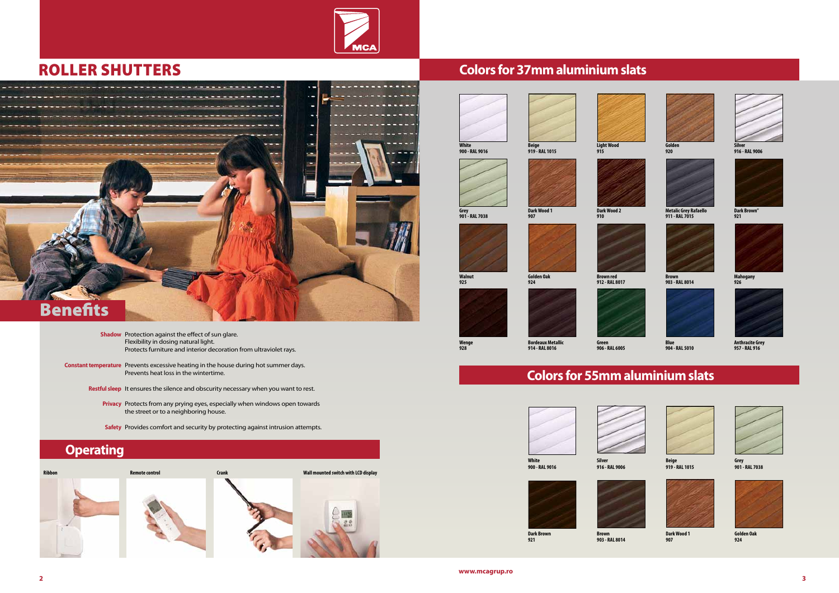**www.mcagrup.ro**



Shadow Protection against the effect of sun glare. Flexibility in dosing natural light. Protects furniture and interior decoration from ultraviolet rays.

- **Constant temperature** Prevents excessive heating in the house during hot summer days. Prevents heat loss in the wintertime.
	- Restful sleep It ensures the silence and obscurity necessary when you want to rest.
		- Privacy Protects from any prying eyes, especially when windows open towards the street or to a neighboring house.
		- Safety Provides comfort and security by protecting against intrusion attempts.

## roller shutters **Colors for 37mm aluminium slats**



**Light Wood 915**





**Golden 920**



**Silver 916 - RAL 9006**

**Grey 901 - RAL 7038**

**Dark Wood 1 907**



**Dark Wood 2 910**





**Metalic Grey Rafaello 911 - RAL 7015**



**Dark Brown" 921**

**Walnut 925**

**Golden Oak 924**





**Brown 903 - RAL 8014**



**Mahogany 926**

**Wenge 928**



**Bordeaux Metallic 914 - RAL 8016**

**Green 906 - RAL 6005**



**Blue 904 - RAL 5010**



**Anthracite Grey 957 - RAL 916**



## **Colors for 55mm aluminium slats**

### **Operating**



**White 900 - RAL 9016**

**Silver 916 - RAL 9006**



**Beige 919 - RAL 1015**



**Grey 901 - RAL 7038**





**Dark Brown 921**

**Brown 903 - RAL 8014**



**Dark Wood 1 907**



**Golden Oak 924**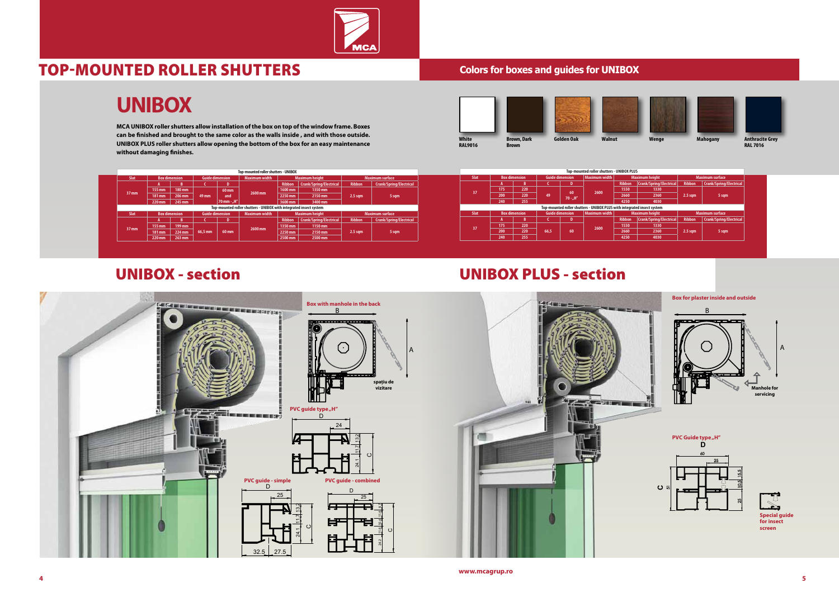



## Top-mounted roller shutters

**MCA UNIBOX roller shutters allow installation of the box on top of the window frame. Boxes can be finished and brought to the same color as the walls inside , and with those outside. UNIBOX PLUS roller shutters allow opening the bottom of the box for an easy maintenance without damaging finishes.**





## **UNIBOX**

### **Colors for boxes and guides for UNIBOX**

| White<br><b>RAL9016</b> | <b>Brown, Dark</b><br><b>Brown</b> | Golden Oak | <b>Walnut</b> |
|-------------------------|------------------------------------|------------|---------------|







### UNIBOX - section UNIBOX PLUS - section



|                 |                      |        | Top-mounted roller shutters - UNIBOX |             |                                                                    |               |                         |                    |                         | Top-mounted roller shutters - UNIBOX PLUS |      |                                                |     |                        |               |                                                                         |               |                         |                    |                         |
|-----------------|----------------------|--------|--------------------------------------|-------------|--------------------------------------------------------------------|---------------|-------------------------|--------------------|-------------------------|-------------------------------------------|------|------------------------------------------------|-----|------------------------|---------------|-------------------------------------------------------------------------|---------------|-------------------------|--------------------|-------------------------|
|                 | <b>Box dimension</b> |        | <b>Guide dimension</b>               |             | <b>Maximum width</b>                                               |               | <b>Maximum height</b>   |                    | <b>Maximum surface</b>  |                                           | Slat | <b>Box dimension</b>                           |     | <b>Guide dimension</b> |               | Maximum width                                                           |               | <b>Maximum height</b>   |                    | <b>Maximum surface</b>  |
|                 |                      |        |                                      |             |                                                                    | <b>Ribbon</b> | Crank/Spring/Electrical | <b>Ribbon</b>      | Crank/Spring/Electrical |                                           |      |                                                |     |                        |               |                                                                         | <b>Ribbon</b> | Crank/Spring/Electrical | Ribbon             | Crank/Spring/Electrical |
| 7 <sub>mm</sub> | $155$ mm $1$         | 180 mm |                                      | 60 mm       |                                                                    | 1600 mm       | 1350 mm                 |                    |                         |                                           | 175  |                                                | 220 |                        | 60            | 2600                                                                    | 1550          | 1330                    |                    |                         |
|                 | 181 mm               | 206 mm | 49 mm                                | and         | 2600 mm                                                            | 2250 mm       | 2150 mm                 | $2.5$ sqm          | 5 sqm                   |                                           |      | <b>200</b><br>zuu                              | 220 |                        | $70 - . H''$  |                                                                         | 2660          | 2360                    | 2.5 <sub>sgm</sub> | 5 sqm                   |
|                 | 220 mm               | 245 mm |                                      | 70 mm - "H" |                                                                    |               | 3600 mm                 | 3400 mm            |                         |                                           |      | 240<br>255                                     |     |                        |               |                                                                         | 4250          | 4030                    |                    |                         |
|                 |                      |        |                                      |             | Top-mounted roller shutters - UNIBOX with integrated insect system |               |                         |                    |                         |                                           |      |                                                |     |                        |               | Top-mounted roller shutters - UNIBOX PLUS with integrated insect system |               |                         |                    |                         |
|                 | <b>Box dimension</b> |        | <b>Guide dimension</b>               |             | <b>Maximum width</b>                                               |               | <b>Maximum height</b>   |                    | Maximum surface         |                                           | Slat | <b>Guide dimension</b><br><b>Box dimension</b> |     |                        | Maximum width | <b>Maximum height</b>                                                   |               | <b>Maximum surface</b>  |                    |                         |
|                 |                      |        |                                      |             |                                                                    | <b>Ribbon</b> | Crank/Spring/Electrical | <b>Ribbon</b>      | Crank/Spring/Electrical |                                           |      |                                                |     |                        |               |                                                                         | <b>Ribbon</b> | Crank/Spring/Electrical | <b>Ribbon</b>      | Crank/Spring/Electrical |
| $7 \text{ mm}$  | $155$ mm $1$         | 199 mm |                                      |             |                                                                    | 1350 mm       | 1150 mm                 |                    |                         |                                           |      | 175                                            | 220 |                        |               | 2600                                                                    | 1550          | 1330                    |                    |                         |
|                 | 181 mm               | 224 mm | 66,5 mm                              | 60 mm       | 2600 mm                                                            | 2250 mm       | 2150 mm                 | 2.5 <sub>sgm</sub> | 5 sqm                   |                                           |      | 200                                            | 220 | 66,5                   | 60            |                                                                         | 2660          | 2360                    | $2.5$ sqm          | 5 sqm                   |
|                 | 220 mm               | 263 mm |                                      |             |                                                                    | 2500 mm       | 2500 mm                 |                    |                         |                                           |      | 240                                            | 255 |                        |               |                                                                         | 4250          | 4030                    |                    |                         |
|                 |                      |        |                                      |             |                                                                    |               |                         |                    |                         |                                           |      |                                                |     |                        |               |                                                                         |               |                         |                    |                         |

**37 mm**

**37 mm**